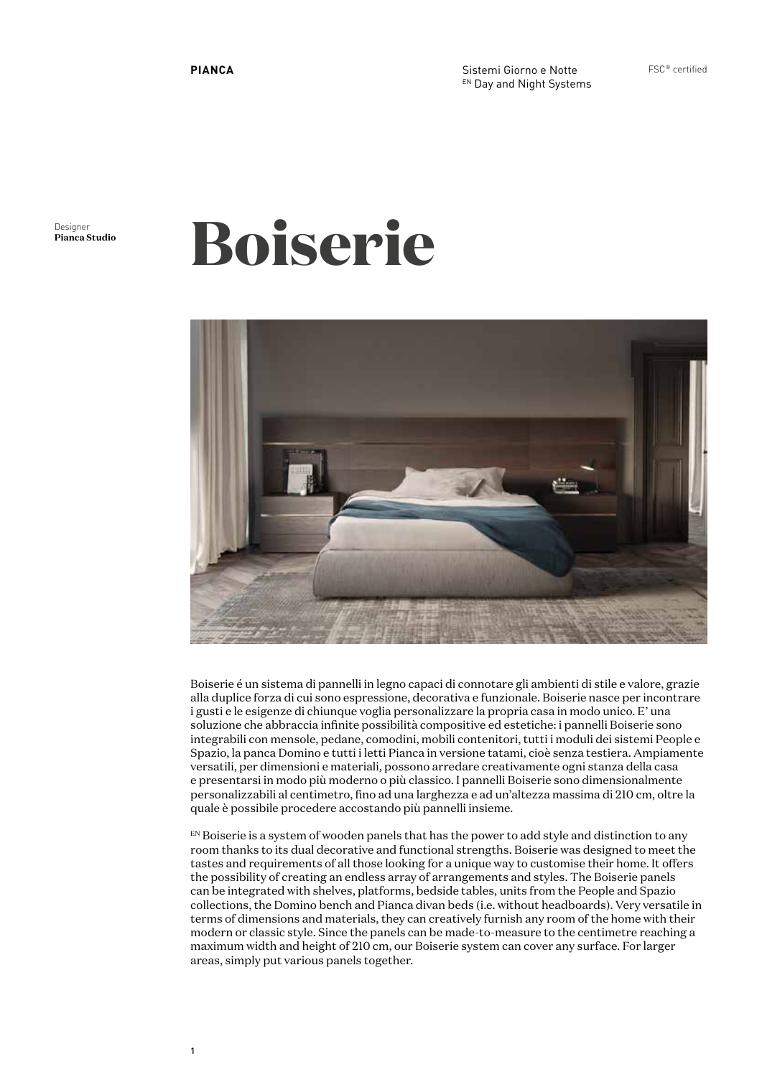Sistemi Giorno e Notte EN Day and Night Systems FSC® certified

Designer<br>**Pianca Studio** 

# **Pianca Studio Boiserie**



Boiserie é un sistema di pannelli in legno capaci di connotare gli ambienti di stile e valore, grazie alla duplice forza di cui sono espressione, decorativa e funzionale. Boiserie nasce per incontrare i gusti e le esigenze di chiunque voglia personalizzare la propria casa in modo unico. E' una soluzione che abbraccia infinite possibilità compositive ed estetiche: i pannelli Boiserie sono integrabili con mensole, pedane, comodini, mobili contenitori, tutti i moduli dei sistemi People e Spazio, la panca Domino e tutti i letti Pianca in versione tatami, cioè senza testiera. Ampiamente versatili, per dimensioni e materiali, possono arredare creativamente ogni stanza della casa e presentarsi in modo più moderno o più classico. I pannelli Boiserie sono dimensionalmente personalizzabili al centimetro, fino ad una larghezza e ad un'altezza massima di 210 cm, oltre la quale è possibile procedere accostando più pannelli insieme.

 $E_N$  Boiserie is a system of wooden panels that has the power to add style and distinction to any room thanks to its dual decorative and functional strengths. Boiserie was designed to meet the tastes and requirements of all those looking for a unique way to customise their home. It offers the possibility of creating an endless array of arrangements and styles. The Boiserie panels can be integrated with shelves, platforms, bedside tables, units from the People and Spazio collections, the Domino bench and Pianca divan beds (i.e. without headboards). Very versatile in terms of dimensions and materials, they can creatively furnish any room of the home with their modern or classic style. Since the panels can be made-to-measure to the centimetre reaching a maximum width and height of 210 cm, our Boiserie system can cover any surface. For larger areas, simply put various panels together.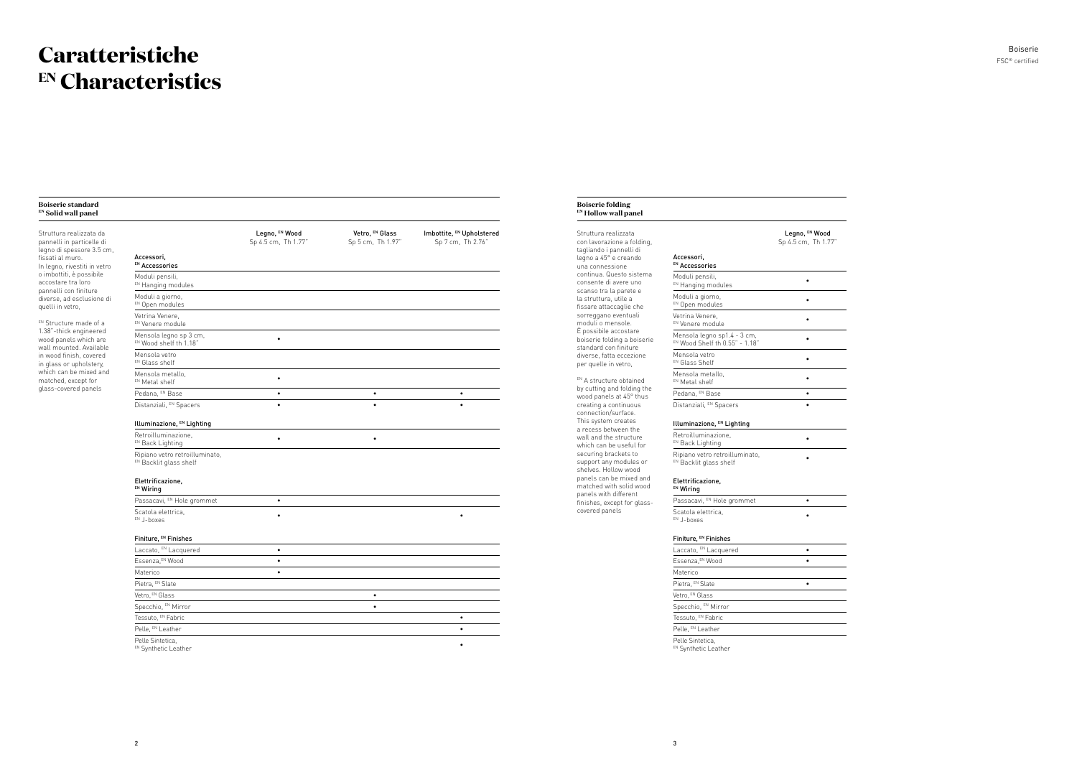### **Caratteristiche EN Characteristics**

#### **Boiserie standard EN Solid wall panel** Struttura realizzata da pannelli in particelle di legno di spessore 3.5 cm, fissati al muro. In legno, rivestiti in vetro o imbottiti, è possibile accostare tra loro pannelli con finiture diverse, ad esclusione di quelli in vetro, EN Structure made of a 1.38"-thick engineered wood panels which are wall mounted. Available in wood finish, covered in glass or upholstery, which can be mixed and matched, except for glass-covered panels Legno, EN Wood Sp 4.5 cm, Th 1.77" Vetro, EN Glass Sp 5 cm, Th 1.97" Imbottite, EN Upholstered Sp 7 cm, Th 2.76" Accessori, EN Accessories Moduli pensili, EN Hanging modules Moduli a giorno, EN Open modules Vetrina Venere, EN Venere module Mensola legno sp 3 cm,  $E_N$  Mensola legno sp 3 cm,  $\bullet$   $\bullet$ Mensola vetro EN Glass shelf Mensola metallo, Mensola metallo, and a series of the series of the series of the series of the series of the series of the series of the series of the series of the series of the series of the series of the series of the series of the ser Pedana, EN Base • • • Distanziali, EN Spacers • • • Illuminazione, EN Lighting Retroilluminazione, Retroitluminazione, and the set of the set of the set of the set of the set of the set of the set of the set o<br>EN Back Lighting the set of the set of the set of the set of the set of the set of the set of the set of the s Ripiano vetro retroilluminato, EN Backlit glass shelf Elettrificazione, EN Wiring Passacavi, EN Hole grommet Scatola elettrica, EN J-boxes • • Finiture, EN Finishes Laccato, EN Lacquered • Essenza,EN Wood • Materico **•** Pietra, EN Slate Vetro, EN Glass • Specchio, EN Mirror • Tessuto, EN Fabric **•** Pelle, EN Leather • Pelle Sintetica. eue Sinterica, and the state of the state of the state of the state of the state of the state of the state of the state of the state of the state of the state of the state of the state of the state of the state of the sta

### FSC® certified Boiserie

EN A structure obtained by cutting and folding the wood panels at 45° thus creating a continuous connection/surface. This system creates a recess between the wall and the structure which can be useful for securing brackets to support any modules or shelves. Hollow wood panels can be mixed and matched with solid wood panels with different finishes, except for glasscovered panels

### **Boiserie folding EN Hollow wall panel** Struttura realizzata

con lavorazione a folding, tagliando i pannelli di legno a 45° e creando una connessione continua. Questo sistema consente di avere uno scanso tra la parete e la struttura, utile a fissare attaccaglie che sorreggano eventuali moduli o mensole. È possibile accostare boiserie folding a boiserie standard con finiture diverse, fatta eccezione per quelle in vetro,

|                                                            | Legno, EN Wood      |
|------------------------------------------------------------|---------------------|
|                                                            | Sp 4.5 cm, Th 1.77" |
| ccessori,<br>Accessories                                   |                     |
| loduli pensili,<br>Hanging modules                         | $\bullet$           |
| loduli a giorno,<br><sup>V</sup> Open modules              | ٠                   |
| etrina Venere,<br>Venere module                            | ٠                   |
| lensola legno sp1.4 - 3 cm,<br>Wood Shelf th 0.55" - 1.18" | ٠                   |
| lensola vetro<br>Glass Shelf                               | $\bullet$           |
| lensola metallo,<br>Metal shelf                            | $\bullet$           |
| <sup>edana, <sup>EN</sup> Base</sup>                       | ٠                   |
| listanziali, <sup>EN</sup> Spacers                         | $\bullet$           |
|                                                            |                     |
| luminazione, EN Lighting                                   |                     |
| etroilluminazione,<br>Back Lighting                        | ٠                   |
| ipiano vetro retroilluminato,<br>Backlit glass shelf       |                     |
| lettrificazione,<br>Viring                                 |                     |
| assacavi, <sup>EN</sup> Hole grommet                       | $\bullet$           |
| catola elettrica,<br>J-boxes                               | $\bullet$           |
| initure, <sup>EN</sup> Finishes                            |                     |
| accato, EN Lacquered                                       | $\bullet$           |
| ssenza, <sup>EN</sup> Wood                                 | $\bullet$           |
| <i><b>Aaterico</b></i>                                     |                     |
| letra, EN Slate                                            | $\bullet$           |
| etro, <sup>EN</sup> Glass                                  |                     |
| pecchio, <sup>EN</sup> Mirror                              |                     |
| essuto, <sup>en</sup> Fabric                               |                     |
| elle, <sup>EN</sup> Leather                                |                     |
| elle Sintetica,                                            |                     |

|                                                               | Legno, EN Wood<br>Sp 4.5 cm, Th 1.77" |
|---------------------------------------------------------------|---------------------------------------|
| Accessori,<br>EN Accessories                                  |                                       |
| Moduli pensili,<br>EN Hanging modules                         | $\bullet$                             |
| Moduli a giorno,<br>EN Open modules                           | $\bullet$                             |
| Vetrina Venere,<br>EN Venere module                           | ۰                                     |
| Mensola legno sp1.4 - 3 cm,<br>EN Wood Shelf th 0.55" - 1.18" | $\bullet$                             |
| Mensola vetro<br>EN Glass Shelf                               | $\bullet$                             |
| Mensola metallo,<br>EN Metal shelf                            | $\bullet$                             |
| Pedana, EN Base                                               | $\bullet$                             |
| Distanziali, EN Spacers                                       | $\bullet$                             |
| Illuminazione, EN Lighting                                    |                                       |
| Retroilluminazione,                                           |                                       |
| EN Back Lighting                                              | ۰                                     |
| Ripiano vetro retroilluminato,<br>EN Backlit glass shelf      |                                       |
| Elettrificazione,<br>EN Wiring                                |                                       |
| Passacavi, EN Hole grommet                                    | $\bullet$                             |
| Scatola elettrica,<br>EN J-boxes                              | ٠                                     |
| Finiture, EN Finishes                                         |                                       |
| Laccato, EN Lacquered                                         | $\bullet$                             |
| Essenza, EN Wood                                              | $\bullet$                             |
| Materico                                                      |                                       |
| Pietra, EN Slate                                              | $\bullet$                             |
| Vetro, EN Glass                                               |                                       |
| Specchio, EN Mirror                                           |                                       |
| Tessuto, EN Fabric                                            |                                       |
| Pelle, EN Leather                                             |                                       |
| Pelle Sintetica,<br>EN Synthetic Leather                      |                                       |
|                                                               |                                       |
|                                                               |                                       |
|                                                               |                                       |

|                                                          | Legno, EN Wood<br>Sp 4.5 cm, Th 1.77" |
|----------------------------------------------------------|---------------------------------------|
|                                                          |                                       |
| Accessori,<br>EN Accessories                             |                                       |
| Moduli pensili,<br>EN Hanging modules                    | $\bullet$                             |
| Moduli a giorno,<br>EN Open modules                      | $\bullet$                             |
| Vetrina Venere,<br>EN Venere module                      | $\bullet$                             |
| Mensola legno sp1.4 - 3 cm,                              | $\bullet$                             |
| EN Wood Shelf th 0.55" - 1.18"<br>Mensola vetro          | ٠                                     |
| EN Glass Shelf<br>Mensola metallo,                       | $\bullet$                             |
| EN Metal shelf                                           |                                       |
| Pedana, EN Base                                          | $\bullet$                             |
| Distanziali, EN Spacers                                  | $\bullet$                             |
| Illuminazione, EN Lighting                               |                                       |
| Retroilluminazione,<br>EN Back Lighting                  | $\bullet$                             |
| Ripiano vetro retroilluminato,<br>EN Backlit glass shelf |                                       |
| Elettrificazione,<br>EN Wiring                           |                                       |
| Passacavi, EN Hole grommet                               | $\bullet$                             |
| Scatola elettrica,<br>EN J-boxes                         | $\bullet$                             |
| Finiture, EN Finishes                                    |                                       |
| Laccato, EN Lacquered                                    | $\bullet$                             |
| Essenza, EN Wood                                         | $\bullet$                             |
| Materico                                                 |                                       |
| Pietra, EN Slate                                         | $\bullet$                             |
| Vetro, EN Glass                                          |                                       |
| Specchio, EN Mirror                                      |                                       |
| Tessuto, EN Fabric                                       |                                       |
| Pelle, EN Leather                                        |                                       |
| Pelle Sintetica,<br>EN Synthetic Leather                 |                                       |
|                                                          |                                       |
|                                                          |                                       |
|                                                          |                                       |

|                                                               | Legno, EN Wood<br>Sp 4.5 cm, Th 1.77" |
|---------------------------------------------------------------|---------------------------------------|
| Accessori,<br>EN Accessories                                  |                                       |
| Moduli pensili,<br>EN Hanging modules                         | $\bullet$                             |
| Moduli a giorno,<br>EN Open modules                           |                                       |
| Vetrina Venere,<br>EN Venere module                           | $\bullet$                             |
| Mensola legno sp1.4 - 3 cm,<br>EN Wood Shelf th 0.55" - 1.18" | $\bullet$                             |
| Mensola vetro<br>EN Glass Shelf                               | $\bullet$                             |
| Mensola metallo,<br>EN Metal shelf                            | $\bullet$                             |
| Pedana, EN Base                                               | $\bullet$                             |
| Distanziali, EN Spacers                                       | $\bullet$                             |
| Illuminazione, EN Lighting                                    |                                       |
| Retroilluminazione,<br>EN Back Lighting                       | $\bullet$                             |
| Ripiano vetro retroilluminato,<br>EN Backlit glass shelf      |                                       |
| Elettrificazione,<br>EN Wiring                                |                                       |
| Passacavi, EN Hole grommet                                    | $\bullet$                             |
| Scatola elettrica,<br>EN J-boxes                              | $\bullet$                             |
| Finiture, EN Finishes                                         |                                       |
| Laccato, EN Lacquered                                         | $\bullet$                             |
| Essenza, EN Wood                                              | ٠                                     |
| Materico                                                      |                                       |
| Pietra, EN Slate                                              | $\bullet$                             |
| Vetro, EN Glass                                               |                                       |
| Specchio, EN Mirror                                           |                                       |
| Tessuto, EN Fabric                                            |                                       |
| Pelle, EN Leather                                             |                                       |
| Pelle Sintetica,<br>EN Synthetic Leather                      |                                       |
|                                                               |                                       |
|                                                               |                                       |
|                                                               |                                       |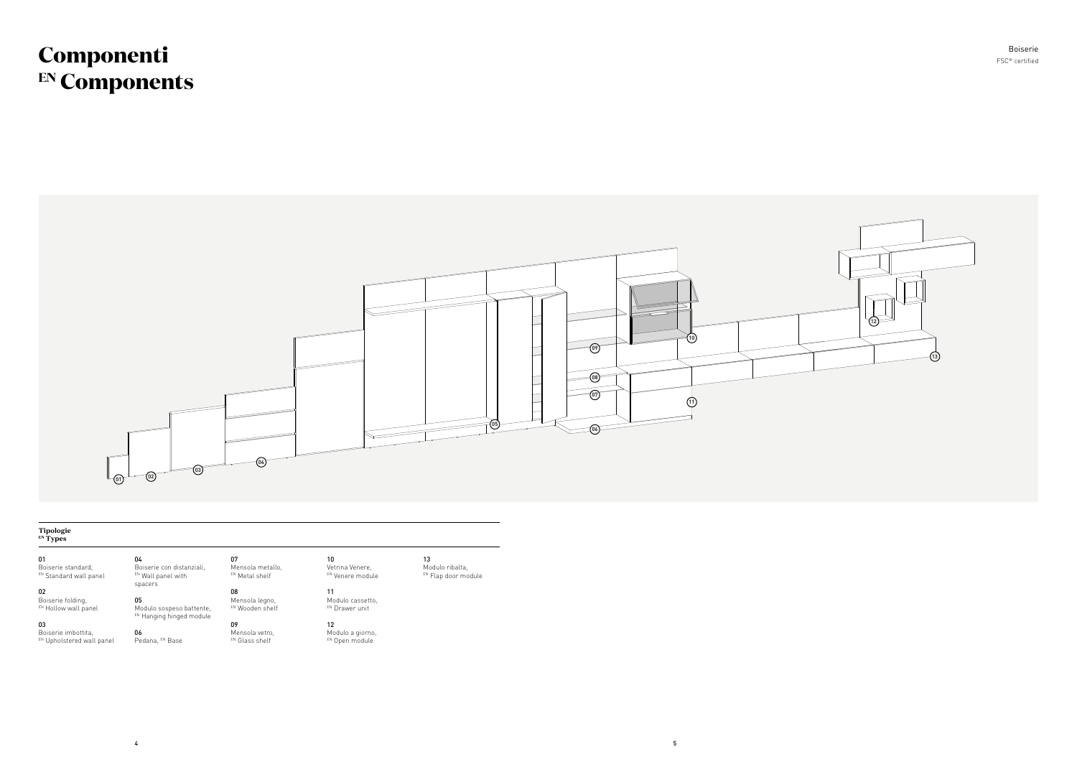## **Componenti EN Components**

01 Boiserie standard, EN Standard wall panel

#### **Tipologie EN Types**

02 Boiserie folding, EN Hollow wall panel

03 Boiserie imbottita, EN Upholstered wall panel

EN Wall panel with spacers 05

04

Modulo cassetto, EN Drawer unit

12 Modulo a giorno, EN Open module

13 Modulo ribalta, EN Flap door module

Boiserie con distanziali, Mensola metallo, EN Metal shelf

06

Modulo sospeso battente, EN Hanging hinged module 08 Mensola legno, EN Wooden shelf

07

Pedana, EN Base 09 Mensola vetro, EN Glass shelf

10 Vetrina Venere,

> EN Venere module 11



FSC® certified Boiserie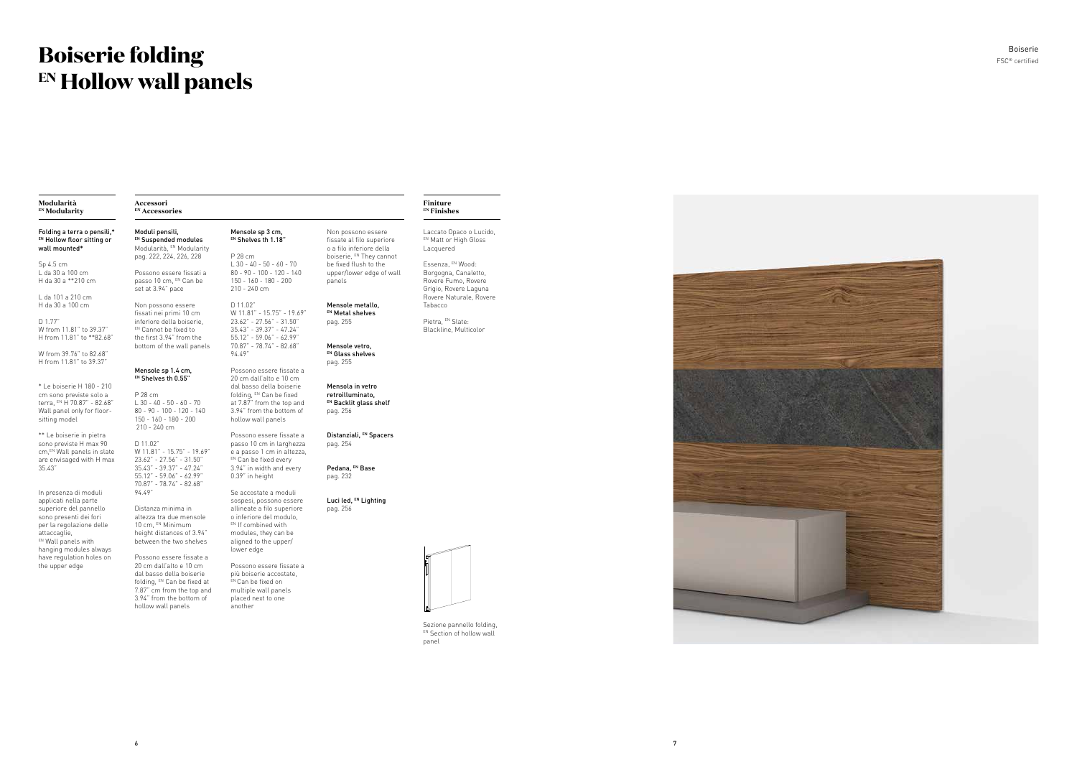6

7



## **Boiserie folding EN Hollow wall panels**

#### **Modularità EN Modularity**

### **Accessori EN Accessories**

### **Finiture EN Finishes**

Sezione pannello folding, EN Section of hollow wall panel

passo 10 cm, EN Can be set at 3.94" pace Non possono essere

Moduli pensili, EN Suspended modules Modularità, EN Modularity pag. 222, 224, 226, 228 Possono essere fissati a

#### Mensole sp 1.4 cm, EN Shelves th 0.55"

fissati nei primi 10 cm inferiore della boiserie, EN Cannot be fixed to the first 3.94" from the bottom of the wall panels

Pietra, EN Slate: Blackline, Multicolor



Distanza minima in altezza tra due mensole 10 cm, EN Minimum height distances of 3.94" between the two shelves

Laccato Opaco o Lucido, EN Matt or High Gloss Lacquered

P 28 cm L 30 - 40 - 50 - 60 - 70 80 - 90 - 100 - 120 - 140 150 - 160 - 180 - 200 210 - 240 cm 20 cm dall'alto e 10 cm dal basso della boiserie folding, EN Can be fixed at 7.87" from the top and 3.94" from the bottom of hollow wall panels

Essenza, EN Wood: Borgogna, Canaletto, Rovere Fumo, Rovere Grigio, Rovere Laguna Rovere Naturale, Rovere Tabacco

D 11.02" W 11.81" - 15.75" - 19.69" 23.62" - 27.56" - 31.50" 35.43" - 39.37" - 47.24" 55.12" - 59.06" - 62.99" 70.87" - 78.74" - 82.68" 94.49" Possono essere fissate a passo 10 cm in larghezza e a passo 1 cm in altezza, EN Can be fixed every 3.94" in width and every 0.39" in height Se accostate a moduli

Mensole sp 3 cm, EN Shelves th 1.18"

P 28 cm

150 - 160 - 180 - 200 210 - 240 cm D 11.02"

W 11.81" - 15.75" - 19.69" 23.62" - 27.56" - 31.50" 35.43" - 39.37" - 47.24" 55.12" - 59.06" - 62.99" 70.87" - 78.74" - 82.68"

Possono essere fissate a 20 cm dall'alto e 10 cm dal basso della boiserie folding, EN Can be fixed at 7.87" cm from the top and 3.94" from the bottom of hollow wall panels Possono essere fissate a più boiserie accostate, EN Can be fixed on multiple wall panels placed next to one another

94.49"

Possono essere fissate a

L 30 - 40 - 50 - 60 - 70 80 - 90 - 100 - 120 - 140 Non possono essere fissate al filo superiore o a filo inferiore della boiserie, EN They cannot be fixed flush to the upper/lower edge of wall

sospesi, possono essere allineate a filo superiore o inferiore del modulo, EN If combined with modules, they can be aligned to the upper/ lower edge

panels

Mensole metallo, EN Metal shelves pag. 255

> Mensole vetro, EN Glass shelves pag. 255

Mensola in vetro retroilluminato, EN Backlit glass shelf pag. 256

Distanziali, EN Spacers pag. 254

Pedana, EN Base pag. 232

Luci led, EN Lighting pag. 256

Folding a terra o pensili,\* EN Hollow floor sitting or wall mounted\*

Sp 4.5 cm L da 30 a 100 cm H da 30 a \*\*210 cm

L da 101 a 210 cm H da 30 a 100 cm

D 1.77" W from 11.81" to 39.37" H from 11.81" to \*\*82.68"

W from 39.76" to 82.68" H from 11.81" to 39.37"

\* Le boiserie H 180 - 210 cm sono previste solo a terra, EN H 70.87" - 82.68" Wall panel only for floorsitting model

\*\* Le boiserie in pietra sono previste H max 90 cm, EN Wall panels in slate are envisaged with H max 35.43"

In presenza di moduli applicati nella parte superiore del pannello sono presenti dei fori per la regolazione delle attaccaglie, EN Wall panels with hanging modules always have regulation holes on the upper edge

FSC ® certified Boiserie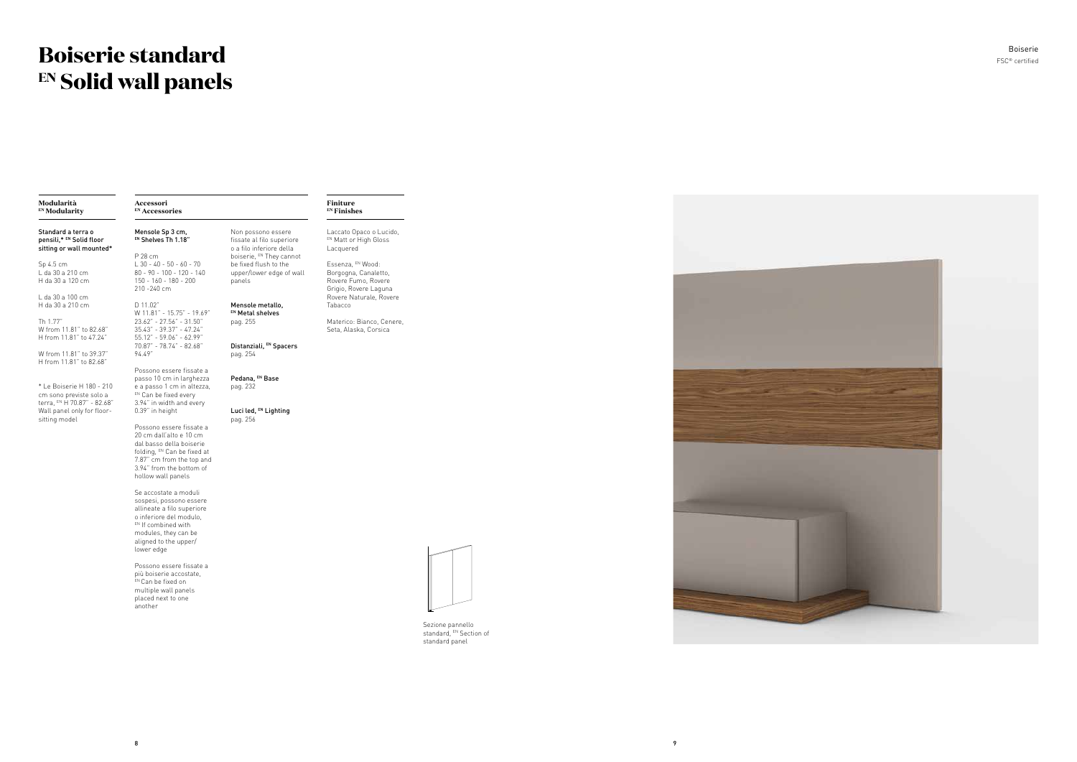9



## **Boiserie standard EN Solid wall panels**

### FSC ® certified Boiserie

#### **Modularità EN Modularity**

#### **Finiture EN Finishes**

**Accessori EN Accessories**

Standard a terra o pensili,\* EN Solid floor sitting or wall mounted\*

Sp 4.5 cm L da 30 a 210 cm H da 30 a 120 cm

L da 30 a 100 cm H da 30 a 210 cm

Th 1.77" W from 11.81" to 82.68" H from 11.81" to 47.24"

W from 11.81" to 39.37" H from 11.81" to 82.68"

\* Le Boiserie H 180 - 210 cm sono previste solo a terra, EN H 70.87" - 82.68" Wall panel only for floorsitting model

Laccato Opaco o Lucido, EN Matt or High Gloss Lacquered

Essenza, EN Wood: Borgogna, Canaletto, Rovere Fumo, Rovere Grigio, Rovere Laguna Rovere Naturale, Rovere Tabacco

Materico: Bianco, Cenere, Seta, Alaska, Corsica

Mensole Sp 3 cm, EN Shelves Th 1.18" P 28 cm L 30 - 40 - 50 - 60 - 70

D 11.02"

Luci led, EN Lighting pag. 256



94.49" Possono essere fissate a passo 10 cm in larghezza e a passo 1 cm in altezza, EN Can be fixed every 3.94" in width and every

0.39" in height Possono essere fissate a 20 cm dall'alto e 10 cm dal basso della boiserie folding, EN Can be fixed at 7.87" cm from the top and 3.94" from the bottom of hollow wall panels

80 - 90 - 100 - 120 - 140 150 - 160 - 180 - 200 210 -240 cm be fixed flush to the upper/lower edge of wall panels

W 11.81" - 15.75" - 19.69" 23.62" - 27.56" - 31.50" 35.43" - 39.37" - 47.24" 55.12" - 59.06" - 62.99" 70.87" - 78.74" - 82.68" Mensole metallo, EN Metal shelves pag. 255 Distanziali, EN Spacers

Se accostate a moduli sospesi, possono essere allineate a filo superiore o inferiore del modulo, EN If combined with modules, they can be aligned to the upper/ lower edge

Possono essere fissate a più boiserie accostate, EN Can be fixed on multiple wall panels placed next to one another

Non possono essere fissate al filo superiore o a filo inferiore della boiserie, EN They cannot

pag. 254

Pedana, EN Base pag. 232

> Sezione pannello standard, EN Section of standard panel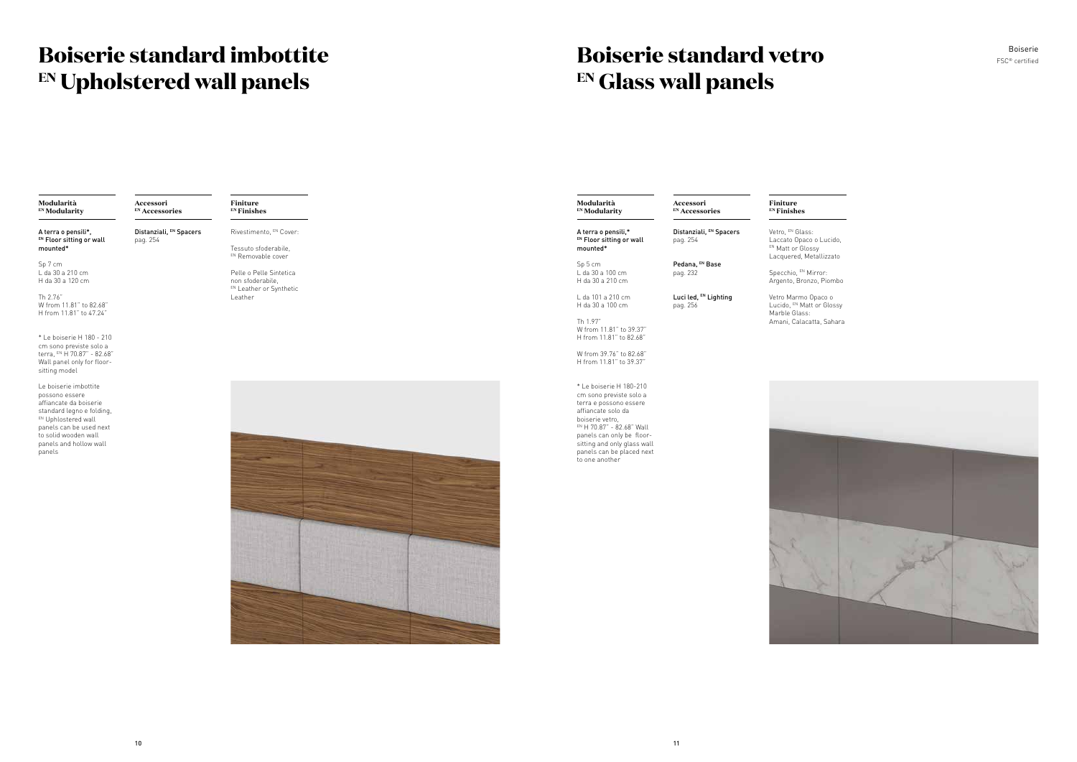#### **Modularità EN Modularity**

A terra o pensili\*, EN Floor sitting or wall mounted\*

Sp 7 cm L da 30 a 210 cm H da 30 a 120 cm

Le boiserie imbottite possono essere affiancate da boiserie standard legno e folding, EN Uphlostered wall panels can be used next to solid wooden wall panels and hollow wall .<br>panels

Th 2.76" W from 11.81" to 82.68" H from 11.81" to 47.24"

\* Le boiserie H 180 - 210 cm sono previste solo a terra, EN H 70.87" - 82.68" Wall panel only for floorsitting model

Tessuto sfoderabile, EN Removable cover

**Finiture EN Finishes**

Rivestimento, EN Cover:



Pelle o Pelle Sintetica non sfoderabile, **EN Leather or Synthetic** Leather

#### **Accessori EN Accessories**

Distanziali, EN Spacers pag. 254

| Modularità<br><b>EN</b> Modularity                                                                                                                                                                                                                            | Accessori<br><sup>EN</sup> Accessories | Finiture<br><sup>EN</sup> Finishes                                      |
|---------------------------------------------------------------------------------------------------------------------------------------------------------------------------------------------------------------------------------------------------------------|----------------------------------------|-------------------------------------------------------------------------|
| A terra o pensili,*<br>EN Floor sitting or wall<br>mounted*                                                                                                                                                                                                   | Distanziali, EN Spacers<br>pag. 254    | Vetro, EN Glass:<br>Laccato Opaco<br>EN Matt or Gloss<br>Lacquered, Met |
| Sp 5 cm<br>L da 30 a 100 cm<br>H da 30 a 210 cm                                                                                                                                                                                                               | Pedana, EN Base<br>pag. 232            | Specchio, EN Mi<br>Argento, Bronz                                       |
| L da 101 a 210 cm<br>H da 30 a 100 cm                                                                                                                                                                                                                         | Luci led, EN Lighting<br>pag. 256      | Vetro Marmo O<br>Lucido, EN Matt<br>Marble Glass:<br>Amani, Calacat     |
| Th 1.97"<br>W from 11.81" to 39.37"<br>H from 11.81" to 82.68"                                                                                                                                                                                                |                                        |                                                                         |
| W from 39.76" to 82.68"<br>H from 11.81" to 39.37"                                                                                                                                                                                                            |                                        |                                                                         |
| * Le boiserie H 180-210<br>cm sono previste solo a<br>terra e possono essere<br>affiancate solo da<br>boiserie vetro.<br>EN H 70.87" - 82.68" Wall<br>panels can only be floor-<br>sitting and only glass wall<br>panels can be placed next<br>to one another |                                        |                                                                         |
|                                                                                                                                                                                                                                                               |                                        |                                                                         |
|                                                                                                                                                                                                                                                               |                                        |                                                                         |
|                                                                                                                                                                                                                                                               |                                        |                                                                         |

## **Boiserie standard vetro EN Glass wall panels**

## **Boiserie standard imbottite EN Upholstered wall panels**

aco o Lucido, lossy Metallizzato

 $^{\backprime}$  Mirror: onzo, Piombo

o Opaco o Aatt or Glossy

acatta, Sahara

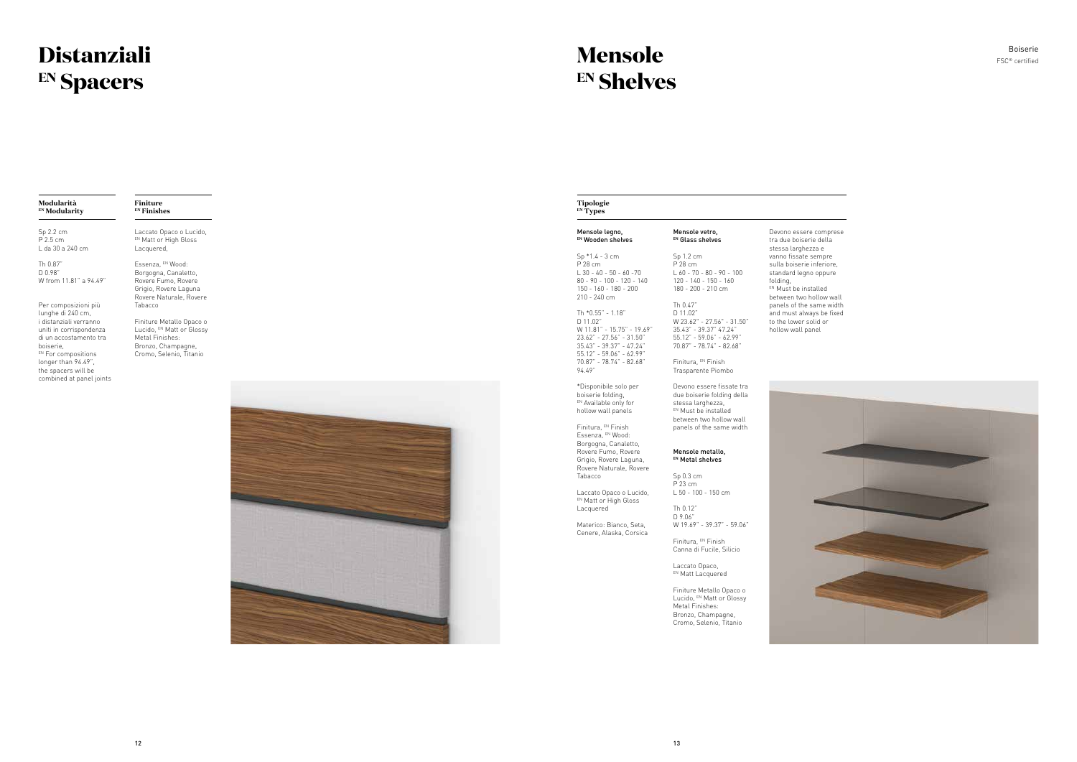#### **Modularità EN Modularity**

**Finiture EN Finishes**

Sp 2.2 cm P 2.5 cm L da 30 a 240 cm

Th 0.87" D 0.98" W from 11.81" a 94.49"

Per composizioni più lunghe di 240 cm, i distanziali verranno uniti in corrispondenza di un accostamento tra boiserie, EN For compositions longer than 94.49", the spacers will be combined at panel joints

Laccato Opaco o Lucido, EN Matt or High Gloss Lacquered,

Essenza, EN Wood: Borgogna, Canaletto, Rovere Fumo, Rovere Grigio, Rovere Laguna Rovere Naturale, Rovere Tabacco

Finiture Metallo Opaco o Lucido, EN Matt or Glossy Metal Finishes: Bronzo, Champagne, Cromo, Selenio, Titanio



### **Mensole EN Shelves**

| Mensole vetro,<br>EN Glass shelves                                                                                                   | Devono essere com<br>tra due boiserie dell                                                                                                                                                                                                     |
|--------------------------------------------------------------------------------------------------------------------------------------|------------------------------------------------------------------------------------------------------------------------------------------------------------------------------------------------------------------------------------------------|
| Sp 1.2 cm<br>P 28 cm<br>$L$ 60 - 70 - 80 - 90 - 100<br>$120 - 140 - 150 - 160$<br>180 - 200 - 210 cm                                 | stessa larghezza e<br>vanno fissate sempr<br>sulla boiserie inferio<br>standard legno oppu<br>folding,<br>EN Must be installed<br>between two hollow<br>panels of the same<br>and must always be<br>to the lower solid or<br>hollow wall panel |
| Th 0.47"<br>D 11.02"<br>W 23.62" - 27.56" - 31.50"<br>35.43" - 39.37" 47.24"<br>55.12" - 59.06" - 62.99"<br>70.87" - 78.74" - 82.68" |                                                                                                                                                                                                                                                |
| Finitura, EN Finish<br>Trasparente Piombo                                                                                            |                                                                                                                                                                                                                                                |
| Devono essere fissate tra<br>due boiserie folding della<br>stessa larghezza,<br>EN Must be installed                                 |                                                                                                                                                                                                                                                |
| panels of the same width                                                                                                             |                                                                                                                                                                                                                                                |
|                                                                                                                                      | between two hollow wall                                                                                                                                                                                                                        |

Laccato Opaco, EN Matt Lacquered

Rovere Fumo, Rovere Grigio, Rovere Laguna, Rovere Naturale, Rovere

Tabacco

Laccato Opaco o Lucido, EN Matt or High Gloss Lacquered

Materico: Bianco, Seta, Cenere, Alaska, Corsica

#### Mensole metallo, EN Metal shelves

Sp 0.3 cm P 23 cm L 50 - 100 - 150 cm

Th 0.12" D 9.06" W 19.69" - 39.37" - 59.06"

Finitura, EN Finish Canna di Fucile, Silicio

Finiture Metallo Opaco o Lucido, EN Matt or Glossy Metal Finishes: Bronzo, Champagne, Cromo, Selenio, Titanio

## **Distanziali EN Spacers**

### FSC ® certified Boiserie

- nprese ella pre riore, pure
- between wall e width pe fixed to t

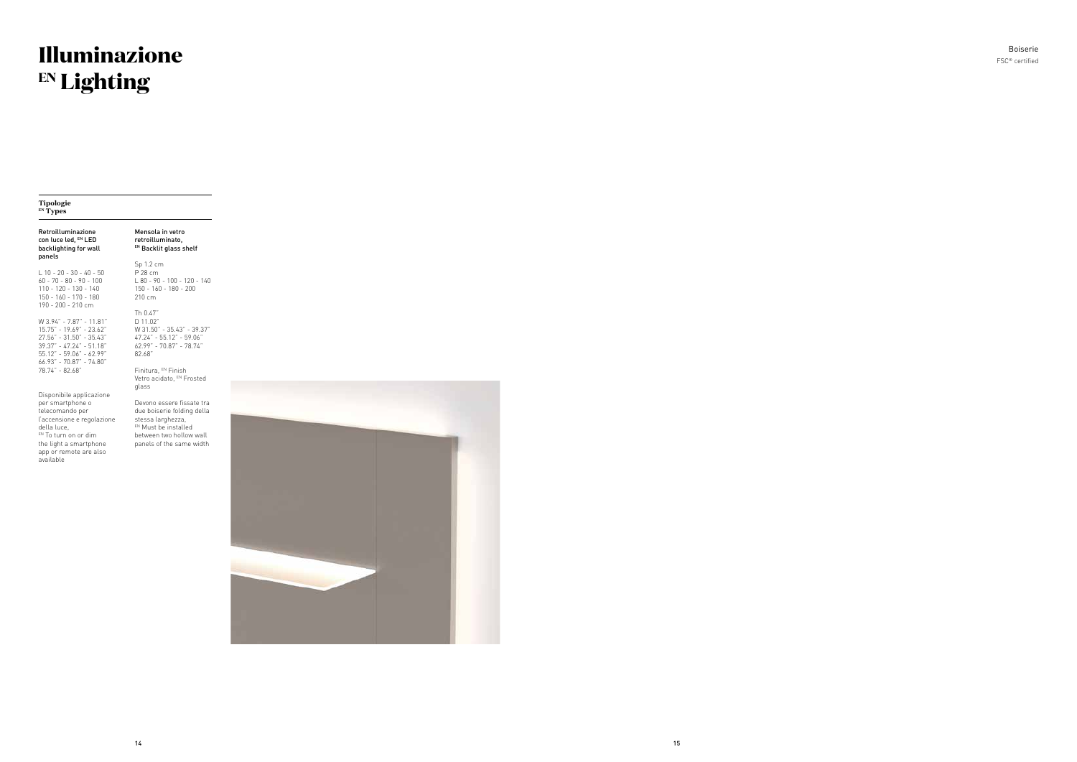#### **Tipologie EN Types**

#### Retroilluminazione con luce led, EN LED backlighting for wall panels

L 10 - 20 - 30 - 40 - 50 60 - 70 - 80 - 90 - 100 110 - 120 - 130 - 140 150 - 160 - 170 - 180 190 - 200 - 210 cm

W 3.94" - 7.87" - 11.81" 15.75" - 19.69" - 23.62" 27.56" - 31.50" - 35.43" 39.37" - 47.24" - 51.18" 55.12" - 59.06" - 62.99" 66.93" - 70.87" - 74.80" 78.74" - 82.68"

Finitura, EN Finish Vetro acidato, EN Frosted glass

Disponibile applicazione per smartphone o telecomando per l'accensione e regolazione della luce, EN To turn on or dim the light a smartphone app or remote are also available

Mensola in vetro retroilluminato, EN Backlit glass shelf Sp 1.2 cm P 28 cm L 80 - 90 - 100 - 120 - 140

150 - 160 - 180 - 200 210 cm Th 0.47" D 11.02" W 31.50" - 35.43" - 39.37" 47.24" - 55.12" - 59.06"

62.99" - 70.87" - 78.74"

82.68"

Devono essere fissate tra due boiserie folding della stessa larghezza, EN Must be installed between two hollow wall panels of the same width



FSC ® certified Boiserie

## **Illuminazione EN Lighting**